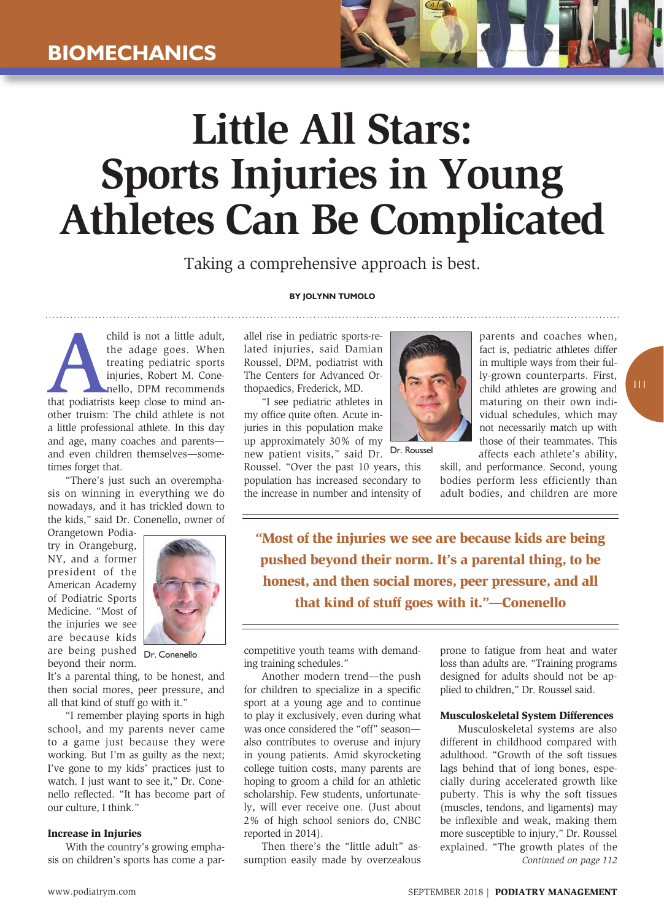# **Little All Stars: Sports Injuries in Young Athletes Can Be Complicated**

Taking a comprehensive approach is best.

#### **By Jolynn Tumolo**

child is not a little adult,<br>the adage goes. When<br>treating pediatric sports<br>injuries, Robert M. Cone-<br>nello, DPM recommends<br>that podiatrists keep close to mind anthe adage goes. When treating pediatric sports injuries, Robert M. Conenello, DPM recommends other truism: The child athlete is not a little professional athlete. In this day and age, many coaches and parents and even children themselves—sometimes forget that.

"There's just such an overemphasis on winning in everything we do nowadays, and it has trickled down to the kids," said Dr. Conenello, owner of

Orangetown Podiatry in Orangeburg, NY, and a former president of the American Academy of Podiatric Sports Medicine. "Most of the injuries we see are because kids are being pushed Dr. Conenello beyond their norm.



It's a parental thing, to be honest, and then social mores, peer pressure, and all that kind of stuff go with it."

"I remember playing sports in high school, and my parents never came to a game just because they were working. But I'm as guilty as the next; I've gone to my kids' practices just to watch. I just want to see it," Dr. Conenello reflected. "It has become part of our culture, I think."

# Increase in Injuries

With the country's growing emphasis on children's sports has come a parallel rise in pediatric sports-related injuries, said Damian Roussel, DPM, podiatrist with The Centers for Advanced Orthopaedics, Frederick, MD.

"I see pediatric athletes in my office quite often. Acute injuries in this population make up approximately 30% of my new patient visits," said Dr. Dr. Roussel

Roussel. "Over the past 10 years, this population has increased secondary to the increase in number and intensity of



parents and coaches when, fact is, pediatric athletes differ in multiple ways from their fully-grown counterparts. First, child athletes are growing and maturing on their own individual schedules, which may not necessarily match up with those of their teammates. This affects each athlete's ability,

skill, and performance. Second, young bodies perform less efficiently than adult bodies, and children are more

"Most of the injuries we see are because kids are being pushed beyond their norm. It's a parental thing, to be honest, and then social mores, peer pressure, and all that kind of stuff goes with it."—Conenello

competitive youth teams with demanding training schedules."

Another modern trend—the push for children to specialize in a specific sport at a young age and to continue to play it exclusively, even during what was once considered the "off" season also contributes to overuse and injury in young patients. Amid skyrocketing college tuition costs, many parents are hoping to groom a child for an athletic scholarship. Few students, unfortunately, will ever receive one. (Just about 2% of high school seniors do, CNBC reported in 2014).

Then there's the "little adult" assumption easily made by overzealous prone to fatigue from heat and water loss than adults are. "Training programs designed for adults should not be applied to children," Dr. Roussel said.

# Musculoskeletal System Differences

Musculoskeletal systems are also different in childhood compared with adulthood. "Growth of the soft tissues lags behind that of long bones, especially during accelerated growth like puberty. This is why the soft tissues (muscles, tendons, and ligaments) may be inflexible and weak, making them more susceptible to injury," Dr. Roussel explained. "The growth plates of the *Continued on page 112*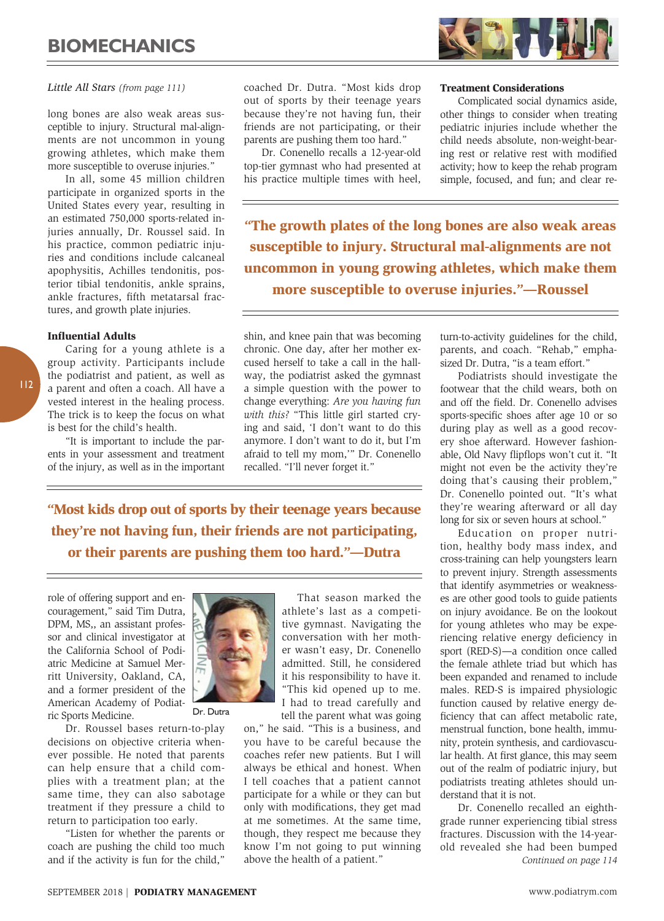

# *Little All Stars (from page 111)*

long bones are also weak areas susceptible to injury. Structural mal-alignments are not uncommon in young growing athletes, which make them more susceptible to overuse injuries."

In all, some 45 million children participate in organized sports in the United States every year, resulting in an estimated 750,000 sports-related injuries annually, Dr. Roussel said. In his practice, common pediatric injuries and conditions include calcaneal apophysitis, Achilles tendonitis, posterior tibial tendonitis, ankle sprains, ankle fractures, fifth metatarsal fractures, and growth plate injuries.

#### Influential Adults

Caring for a young athlete is a group activity. Participants include the podiatrist and patient, as well as a parent and often a coach. All have a vested interest in the healing process. The trick is to keep the focus on what is best for the child's health.

"It is important to include the parents in your assessment and treatment of the injury, as well as in the important coached Dr. Dutra. "Most kids drop out of sports by their teenage years because they're not having fun, their friends are not participating, or their parents are pushing them too hard."

Dr. Conenello recalls a 12-year-old top-tier gymnast who had presented at his practice multiple times with heel,

# Treatment Considerations

Complicated social dynamics aside, other things to consider when treating pediatric injuries include whether the child needs absolute, non-weight-bearing rest or relative rest with modified activity; how to keep the rehab program simple, focused, and fun; and clear re-

"The growth plates of the long bones are also weak areas susceptible to injury. Structural mal-alignments are not uncommon in young growing athletes, which make them more susceptible to overuse injuries."—Roussel

shin, and knee pain that was becoming chronic. One day, after her mother excused herself to take a call in the hallway, the podiatrist asked the gymnast a simple question with the power to change everything: *Are you having fun with this?* "This little girl started crying and said, 'I don't want to do this anymore. I don't want to do it, but I'm afraid to tell my mom,'" Dr. Conenello recalled. "I'll never forget it."

"Most kids drop out of sports by their teenage years because they're not having fun, their friends are not participating, or their parents are pushing them too hard."—Dutra

role of offering support and encouragement," said Tim Dutra, DPM, MS,, an assistant professor and clinical investigator at the California School of Podiatric Medicine at Samuel Merritt University, Oakland, CA, and a former president of the American Academy of Podiatric Sports Medicine.

Dr. Roussel bases return-to-play decisions on objective criteria whenever possible. He noted that parents can help ensure that a child complies with a treatment plan; at the same time, they can also sabotage treatment if they pressure a child to return to participation too early.

"Listen for whether the parents or coach are pushing the child too much and if the activity is fun for the child,"



Dr. Dutra

That season marked the athlete's last as a competitive gymnast. Navigating the conversation with her mother wasn't easy, Dr. Conenello admitted. Still, he considered it his responsibility to have it. "This kid opened up to me. I had to tread carefully and tell the parent what was going

on," he said. "This is a business, and you have to be careful because the coaches refer new patients. But I will always be ethical and honest. When I tell coaches that a patient cannot participate for a while or they can but only with modifications, they get mad at me sometimes. At the same time, though, they respect me because they know I'm not going to put winning above the health of a patient."

turn-to-activity guidelines for the child, parents, and coach. "Rehab," emphasized Dr. Dutra, "is a team effort."

Podiatrists should investigate the footwear that the child wears, both on and off the field. Dr. Conenello advises sports-specific shoes after age 10 or so during play as well as a good recovery shoe afterward. However fashionable, Old Navy flipflops won't cut it. "It might not even be the activity they're doing that's causing their problem," Dr. Conenello pointed out. "It's what they're wearing afterward or all day long for six or seven hours at school."

Education on proper nutrition, healthy body mass index, and cross-training can help youngsters learn to prevent injury. Strength assessments that identify asymmetries or weaknesses are other good tools to guide patients on injury avoidance. Be on the lookout for young athletes who may be experiencing relative energy deficiency in sport (RED-S)—a condition once called the female athlete triad but which has been expanded and renamed to include males. RED-S is impaired physiologic function caused by relative energy deficiency that can affect metabolic rate, menstrual function, bone health, immunity, protein synthesis, and cardiovascular health. At first glance, this may seem out of the realm of podiatric injury, but podiatrists treating athletes should understand that it is not.

Dr. Conenello recalled an eighthgrade runner experiencing tibial stress fractures. Discussion with the 14-yearold revealed she had been bumped *Continued on page 114*